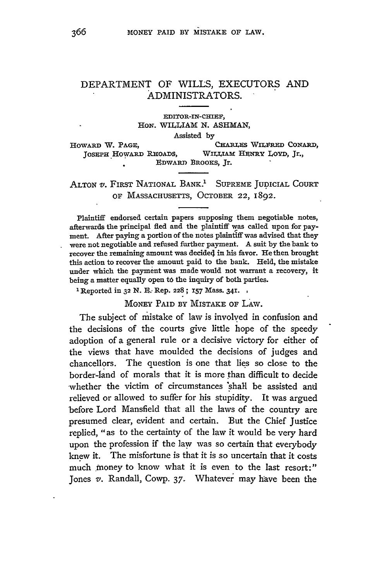## DEPARTMENT OF WILLS, EXECUTORS AND ADMINISTRATORS.

## EDITOR-IN-CHIEF, HON. WILLIAM **N.** ASHMAN,

Assisted by

HOWARD W. PAGE, CHARLES WILFRED CONARD, JOSEPH HOWARD RHOADS, WILIAM HENRY LOYD, Jr., EDWAR) BROOKS, Jr.

**ALTON** v. FIRST NATIONAL BANK.' SUPREME JUDICIAL COURT OF MASSACHUSETTS, OCTOBER 22, 1892.

Plaintiff endorsed certain papers supposing them negotiable notes, afterwards the principal fled and the plaintiff was called upon for payment. After paying a portion of the notes plaintiff was advised that they were not negotiable and refused further payment. A suit **by** the bank to recover the remaining amount was decide4 in his favor. He then brought this action to recover the amount paid to the bank. Held, the mistake under which the payment was made would not warrant a recovery, it being a matter equally open t6 the inquiry of both parties. <sup>1</sup> Reported in **32 N. R.** Rep. **228** ; **157** Mass. **341.**

MONEY PAID BY MISTAKE OF LAW.

The subject of mistake of law is involved in confusion and the decisions of the courts give little hope of the speedy adoption of a general rule or a decisive victory for either of the views that have moulded the decisions of judges and chancellors. The question is one that lies so close to the border-land of morals that it is more than difficult to decide -whether the victim of circumstances 'shall be assisted and relieved or allowed to suffer for his stupidity. It was argued before Lord Mansfield that all the laws of the country are presumed clear, evident and certain. But the Chief Justice replied, "as to the certainty of the law it would be very hard upon the profession if the law was so certain that everybody knew it. The misfortune is that it is so uncertain that it costs much money to know what it is even to the last resort:" Jones v. Randall, Cowp. 37. Whatever may have been the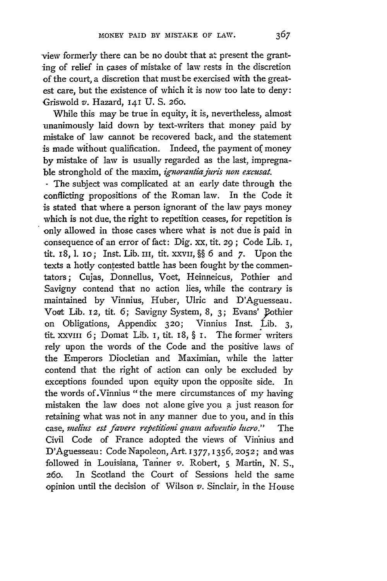view formerly there can be no doubt that at present the granting of relief in cases of mistake of law rests in the discretion of the court, a discretion that must be exercised with the greatest care, but the existence of which it is now too late to deny: Griswold v. Hazard, **141 U. S. 260.**

While this may be true in equity, it is, nevertheless, almost unanimously laid down **by** text-writers that money paid **by** mistake of **law** cannot be recovered back, and the statement is made without qualification. Indeed, the payment of money **by** mistake of law is usually regarded as the last, impregnable stronghold of the maxim, *ignorantiajuris* non excusat.

**.** The subject was complicated at an early date through the conflicting propositions of the Roman law. In the Code it is stated that where a person ignorant of the law pays money which is not due, the right to repetition ceases, for repetition is only allowed in those cases where what is not due is paid in consequence of an error of fact: Dig. xx, tit. **29 ;** Code Lib. **I,** tit. **I8, 1. IO;** Inst. Lib. **III, tit. XXVIi, §§ 6** and **7.** Upon the texts a hotly contested battle has been fought **by** the commentators; Cujas, Donnellus, Voet, Heinneicus, Pothier and Savigny contend that no action lies, while the contrary is maintained **by** Vinnius, Huber, Ulric and D'Aguesseau. Voat Lib. **12,** tit. **6;** Savigny System, **8, 3;** Evans' Pothier on Obligations, Appendix **320;** Vinnius Inst. Lib. **3, tit. xxvIIi 6;** Domat Lib. **I,** tit. 18, **§ I.** The former writers rely upon the words of the Code and the positive laws of the Emperors Diocletian and Maximian, while the latter contend that the right of action can only be excluded **by** exceptions founded upon equity upon the opposite side. In the words of.Vinnius "the mere circumstances of my having mistaken the law does not alone give you **a** just reason for retaining what was not in any manner due to you, and in this case, *aelius est favere repelitioni quam adventio lucro."* The Civil Code of France adopted the views of Vinnius and D'Aguesseau: Code Napoleon, Art. **1377, 1356,2052;** andwas followed in Louisiana, Tanner *v.* Robert, **5** Martin, **N.** *S.,* **26o.** In Scotland the Court of Sessions held the same opinion until the decision of Wilson *v.* Sinclair, in the House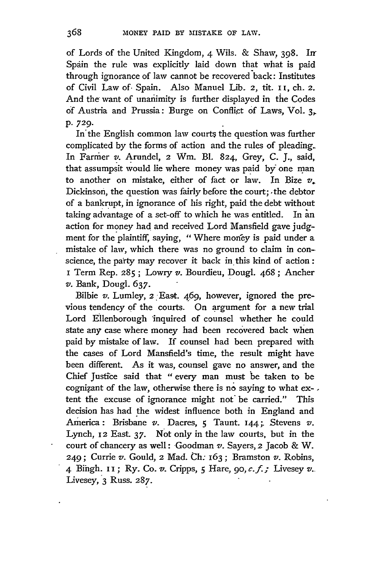of Lords of the United Kingdom, 4 Wils. & Shaw, 398. In Spain the rule was explicitly laid down that what is paid through ignorance of law cannot be recovered back: Institutes of Civil Law of Spain. Also Manuel Lib. 2, tit. 1I, ch. 2. And the want of unanimity is further displayed in the Codes of Austria and Prussia: Burge on Conflict of Laws, Vol. **3,** p. **729.**

In the English common law courts the question was further complicated by the forms of action and the rules of pleading-In Farmer v. Arundel, 2 Wm. Bl. 824, Grey, C. J., said, that assumpsit would lie where money was paid **by"** one man to another on mistake, either of fact or law. In Bize  $v$ . Dickinson, the question was fairly before the court; the debtor of a bankrupt, in ignorance of his right, paid the debt without taking advantage of a set-off to which he was entitled. In an action for money had and received Lord Mansfield gave judgment for the plaintiff, saying, " Where money is paid under a mistake of law, which there was no ground to claim in conscience, the party may recover it back in this kind of action: I Term Rep. 285 **;** Lowry *v.* Bourdieu, Dougi. 468 **;** Ancher v. Bank, Dougl. 637.

Bilbie *v*. Lumley, 2 East. 469, however, ignored the previous tendency of the courts. On argument for a new trial Lord Ellenborough 'inquired of counsel whether he could state any case where money had been recovered back when paid by mistake of law. If counsel had been prepared with the cases of Lord Mansfield's time, the result might have been different. As it was, counsel gave no answer, and the Chief Justice said that " every man must be taken to be cognizant of the law, otherwise there is no saying to what extent the excuse of ignorance might not be carried." This decision has had the widest influence both in England and America: Brisbane v. Dacres, 5 Taunt. 144; Stevens v. Lynch, 12 East. **37.** Not only in the law courts, but in the court of chancery as well: Goodman v. Sayers, 2 Jacob & W. 249; Currie v. Gould, 2 Mad. Ch: 163; Bramston v. Robins, 4 Bihgh. 1 i ; Ry. Co. v. Cripps, 5 Hare, **9o,** *c.f.;* Livesey v.. Livesey, **3** Russ. 287.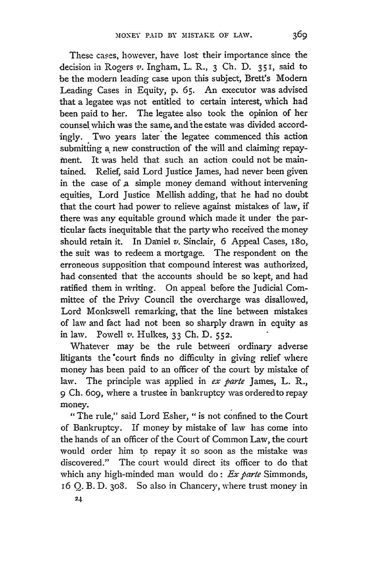These cases, however, have lost their importance since the decision in Rogers v. Ingham, L. R., 3 Ch. D. **35 1,** said to be the modern leading case upon this subject, Brett's Modem Leading Cases in Equity, p. **65.** An executor was advised that a legatee was not entitled to certain interest, which had been paid to her. The legatee also took the opinion of her counsel which was the same, and the estate was divided accordingly. Two years later the legatee commenced this action submitting a new construction of the will and claiming repayment. It was held that such an action could not be maintained. Relief, said Lord Justice James, had never been given in the case of a simple money demand without intervening equities, Lord Justice Mellish adding, that he had no doubt that the court had power to relieve against mistakes of law, if there was any equitable ground which made it under the particular facts inequitable that the party who received the money should retain it. In Daniel v. Sinclair, 6 Appeal Cases, I8o, the suit was to redeem a mortgage. The respondent on the erroneous supposition that compound interest was authorized, had consented that the accounts should be so kept, and had ratified them in writing. On appeal before the Judicial Committee of the Privy Council the overcharge was disallowed, Lord Monkswell remarking, that the line between mistakes of law and fact had not been so sharply drawn in equity as in law. Powell v. Hulkes, 33 Ch. D. **552.**

Whatever may be the rule between ordinary adverse litigants the 'court finds no difficulty in giving relief where money has been paid to an officer of the court by mistake of law. The principle was applied in *ex parte* James, L. R., 9 Ch. 6o9, where a trustee in bankruptcy was ordered to repay money.

"The rule," said Lord Esher, "is not confined to the Court of Bankruptcy. If money by mistake of law has come into the hands of an officer of the Court of Common Law, the court would order him to repay it so soon as the mistake was discovered." The court would direct its officer to do that which any high-minded man would do: *Ex parte* Simmonds, 16 Q. B. **D.** 308. So also in Chancery, where trust money in

 $2.1$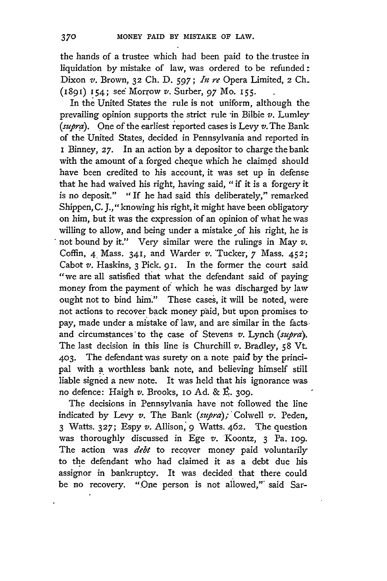the hands of a trustee which had been paid to the trustee in liquidation by mistake of law, was ordered to be refunded **:** Dixon v. Brown, 32 Ch. D. 597; In re Opera Limited, 2 Ch. (1891) 154; see" Morrow v. Surber, 97 Mo. 155.

In the United States the rule is not uniform, although the prevailing opinion supports the strict rule in Bilbie  $v$ . Lumley *(supra).* One of the earliest reported cases is Levy *v.* The Bank of the United States, decided in Pennsylvania and reported in I Binney, 27. In an action by a depositor to charge the bank with the amount of a forged cheque which he claimed should have been credited to his account, it was set up in defense that he had waived his right, having said, *"if* it is a forgery it is no deposit." "If he had said this deliberately," remarked Shippen, C. J.," knowing his right, it might have been obligatory on him, but it was the expression of an opinion of what he was willing to allow, and being under a mistake of his right, he is not bound by it." Very similar were the rulings in May  $v$ . Coffin, 4 Mass. 341, and Warder v. Tucker, 7 Mass. 452; Cabot v. Haskins, 3 Pick. 91. In the former the court said *"we* are all satisfied that what the defendant said of paying money from the payment of which he was discharged by law ought not to bind him." These cases, it will be noted, were not actions to recover back money paid, but upon promises to, pay, made under a mistake of law, and are similar in the facts and circumstances to the case of Stevens *v*. Lynch (supra). The last decision in this line is Churchill *v.* Bradley, 58 **Vt. 403.** The defendant was surety on a note paid by the principal with a worthless bank note, and believing himself still liable signed a new note. It was held that his ignorance was no defence: Haigh v. Brooks, IO Ad. & **E. 309.**

The decisions in Pennsylvania have not followed the line indicated by Levy v. The Bank *(supra);'Colwell v.* Peden, 3 Watts. **327;** Espy v. Allison; 9 Watts. 462. The question was thoroughly discussed in Ege v. Koontz, 3 Pa. 109. The action was *debt* to recover money paid voluntarily to the defendant who had claimed it as a debt due his assignor in bankruptcy. It was decided that there could be no recovery. "One person is not allowed,"' said Sar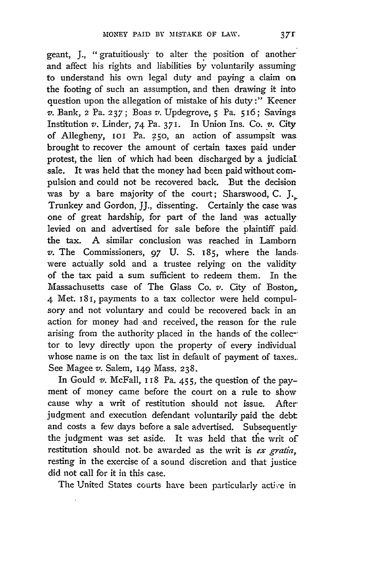geant, **J.,** " gratuitiously to alter the position of another and affect his rights and liabilities by voluntarily assuming to understand his own legal duty and paying a claim on the footing of such an assumption, and then drawing it into question upon the allegation of mistake of his duty:" Keener *v.* Bank, 2 Pa. **237 ;** Boas *v.* Updegrove, 5 Pa. 5 **16;** Savings Institution v. Linder, 74 Pa. 371. In Union Ins. Co. *v.* City of Allegheny, **1oi** Pa. 25o, an action of assumpsit was brought to recover the amount of certain taxes paid under protest, the lien of which had been discharged by a judicial' sale. It was held that the money had been paid without compulsion and could not be recovered back. But the decision was by a bare majority of the court; Sharswood, C. **J.** Trunkey and Gordon, JJ., dissenting. Certainly the case was one of great hardship, for part of the land was actually levied on and advertised for sale before the plaintiff paid the tax. A similar conclusion was reached in Lamborn *v.* The Commissioners, **97** U. **S.** 185, where the lands. were actually sold and a trustee relying on the validity of the tax paid a sum sufficient to redeem them. In the Massachusetts case of The Glass Co. v. City of Boston,. 4 Met. **181,** payments to a tax collector were held compulsory and not voluntary and could be recovered back in an action for money had and received, the reason for the rule arising from the authority placed in the hands of the collector to levy directly upon the property of every individual whose name is on the tax list in default of payment of taxes.. See Magee v. Salem, **149** Mass. 238.

In Gould v. McFall, iI8 Pa. 455, the question of the payment of money came before the court on a rule to show cause why a writ of restitution should not issue. After judgment and execution defendant voluntarily paid the debt and costs a few days before a sale advertised. Subsequently the judgment was set aside. It was held that the writ of restitution should not. be awarded as the writ is *ex gratia,* resting in the exercise of a sound discretion and that justice did not call for it in this case.

The United States courts have been particularly active in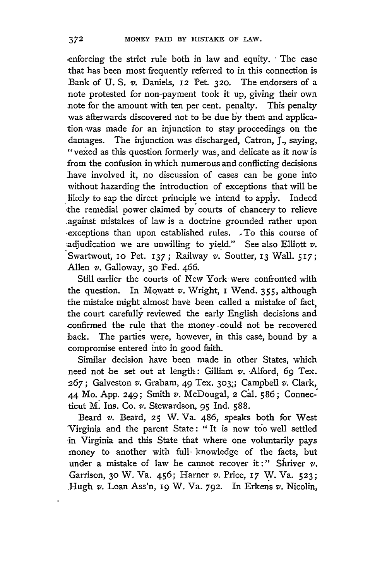enforcing the strict rule both in law and equity. The case that has been most frequently referred to in this connection is Bank of U. S. v. Daniels, 12 Pet. 320. The endorsers of a note protested for non-payment took it up, giving their own note for the amount with ten per cent. penalty. This penalty was afterwards discovered not to be due by them and application-was made for an injunction to stay proceedings on the damages. The injunction was discharged, Catron, J., saying, "vexed as this question formerly was, and delicate as it now is from the confusion in which numerous and conflicting decisions lave involved it, no discussion of cases can be gone into without hazarding the introduction of exceptions that will be likely to sap the direct principle we intend to appiy. Indeed the remedial power claimed by courts of chancery to relieve .against mistakes of law is a doctrine grounded rather upon -exceptions than upon established rules. -To this course of adjudication we are unwilling to yield." See also Elliott  $v$ . Swartwout, io Pet. 137; Railway *v.* Soutter, **13** Wall. 517; Allen v. Galloway, **30** Fed. 466.

Still earlier the courts of New York were confronted with the question. In Mowatt *v.* Wright, I Wend. 355, although the mistake might almost have been called a mistake of fact, the court carefully reviewed the early English decisions and confirmed the rule that the money -could not be recovered back. The parties were, however, in this case, bound by a compromise entered into in good faith.

Similar decision have been made in other States, which need not be set out at length: Gilliam  $v$ . Alford, 69 Tex. 267; Galveston *v.* Graham, 49 Tex. **303.;** Campbell v. Clark, 44 Mo. App. 249; Smith v. McDougal, 2 Cal. 586; Connecticut M. Ins. Co. *v.* Stewardson, 95 Ind. 588.

Beard v. Beard, **25** W. Va. 486, speaks both for West Virginia and the parent State: "It is now too well settled -in Virginia and this State that where one voluntarily pays money to another with full- knowledge of the facts, but under a mistake of law he cannot recover it:" Shriver  $v$ . Garrison, **30** W. Va. 456; Harner *v.* Price, 17 W. Va. **523;** Hugh v. Loan Ass'n, 19 W. Va. 792. In Erkens v. Nicolin,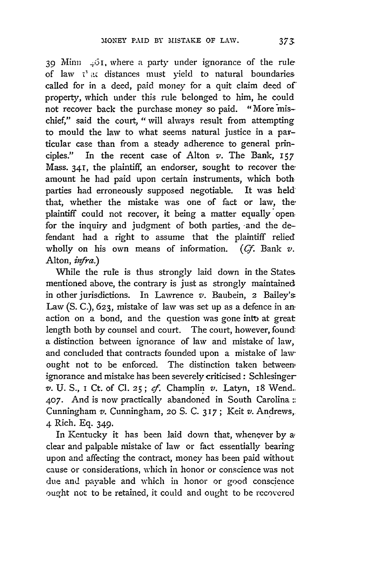39 Minn  $451$ , where a party under ignorance of the rule of law **Vac** distances must yield to natural boundaries called for in a deed, paid money for a quit claim deed of' property, which under this rule belonged to him, he could not recover back the purchase money so paid. "More mischief," said the court, "will always result from attempting to mould the law to what seems natural justice in a particular case than from a steady adherence to general principles." In the recent case of Alton  $v$ . The Bank, 157 Mass. 341, the plaintiff, an endorser, sought to recover the amount he had paid upon certain instruments, which both parties had erroneously supposed negotiable. It was held that, whether the mistake was one of fact or law, the plaintiff could not recover, it being a matter equally open. for the inquiry and judgment of both parties, and the defendant had a right to assume that the plaintiff relied wholly on his own means of information. (Cf. Bank *v.* Alton, *infra.)*

While the rule is thus strongly laid down in the States mentioned above, the contrary is just as strongly maintained in other jurisdictions. In Lawrence  $v$ . Baubein, 2 Bailey's Law (S. C.), 623, mistake of law was set up as a defence in an. action on a bond, and the question was gone into at great length both by counsel and court. The court, however, found a distinction between ignorance of law and mistake of law, and concluded that contracts founded upon a mistake of lawought not to be enforced. The distinction taken between, ignorance and mistake has been severely criticised : Schlesinger v. U. S., I Ct. of **Cl. 25;** *cf.* Champlin v. Latyn, 18 Wend.. **407.** And is now practically abandoned in South Carolina Cunningham *v.* Cunningham, **20** S. C. **317;** Keit *v.* Andrews, 4 Rich. Eq. 349.

In Kentucky it has been laid down that, whenever by a. clear and palpable mistake of law or fact essentially bearing upon and affecting the contract, money has been paid without cause or considerations, which in honor or conscience was not due and payable and which in honor or good conscience ought not to be retained, it could and ought to be recovered